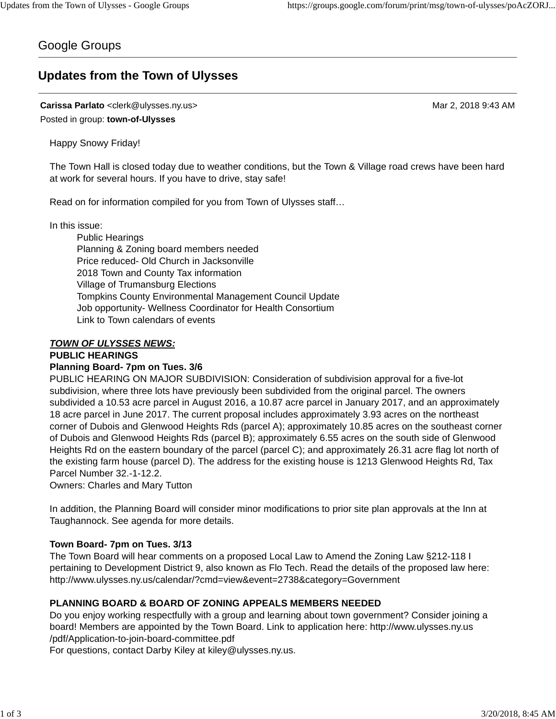# Google Groups

# **Updates from the Town of Ulysses**

**Carissa Parlato** <clerk@ulysses.ny.us> Mar 2, 2018 9:43 AM Posted in group: **town-of-Ulysses**

Happy Snowy Friday!

The Town Hall is closed today due to weather conditions, but the Town & Village road crews have been hard at work for several hours. If you have to drive, stay safe!

Read on for information compiled for you from Town of Ulysses staff…

In this issue:

Public Hearings Planning & Zoning board members needed Price reduced- Old Church in Jacksonville 2018 Town and County Tax information Village of Trumansburg Elections Tompkins County Environmental Management Council Update Job opportunity- Wellness Coordinator for Health Consortium Link to Town calendars of events

### *TOWN OF ULYSSES NEWS:*

#### **PUBLIC HEARINGS**

### **Planning Board- 7pm on Tues. 3/6**

PUBLIC HEARING ON MAJOR SUBDIVISION: Consideration of subdivision approval for a five-lot subdivision, where three lots have previously been subdivided from the original parcel. The owners subdivided a 10.53 acre parcel in August 2016, a 10.87 acre parcel in January 2017, and an approximately 18 acre parcel in June 2017. The current proposal includes approximately 3.93 acres on the northeast corner of Dubois and Glenwood Heights Rds (parcel A); approximately 10.85 acres on the southeast corner of Dubois and Glenwood Heights Rds (parcel B); approximately 6.55 acres on the south side of Glenwood Heights Rd on the eastern boundary of the parcel (parcel C); and approximately 26.31 acre flag lot north of the existing farm house (parcel D). The address for the existing house is 1213 Glenwood Heights Rd, Tax Parcel Number 32.-1-12.2.

Owners: Charles and Mary Tutton

In addition, the Planning Board will consider minor modifications to prior site plan approvals at the Inn at Taughannock. See agenda for more details.

### **Town Board- 7pm on Tues. 3/13**

The Town Board will hear comments on a proposed Local Law to Amend the Zoning Law §212-118 I pertaining to Development District 9, also known as Flo Tech. Read the details of the proposed law here: http://www.ulysses.ny.us/calendar/?cmd=view&event=2738&category=Government

## **PLANNING BOARD & BOARD OF ZONING APPEALS MEMBERS NEEDED**

Do you enjoy working respectfully with a group and learning about town government? Consider joining a board! Members are appointed by the Town Board. Link to application here: http://www.ulysses.ny.us /pdf/Application-to-join-board-committee.pdf

For questions, contact Darby Kiley at kiley@ulysses.ny.us.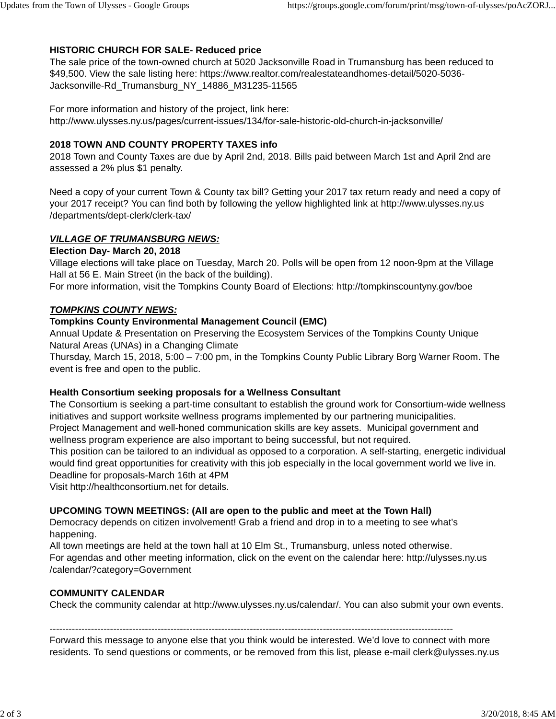# **HISTORIC CHURCH FOR SALE- Reduced price**

The sale price of the town-owned church at 5020 Jacksonville Road in Trumansburg has been reduced to \$49,500. View the sale listing here: https://www.realtor.com/realestateandhomes-detail/5020-5036- Jacksonville-Rd\_Trumansburg\_NY\_14886\_M31235-11565

For more information and history of the project, link here: http://www.ulysses.ny.us/pages/current-issues/134/for-sale-historic-old-church-in-jacksonville/

# **2018 TOWN AND COUNTY PROPERTY TAXES info**

2018 Town and County Taxes are due by April 2nd, 2018. Bills paid between March 1st and April 2nd are assessed a 2% plus \$1 penalty.

Need a copy of your current Town & County tax bill? Getting your 2017 tax return ready and need a copy of your 2017 receipt? You can find both by following the yellow highlighted link at http://www.ulysses.ny.us /departments/dept-clerk/clerk-tax/

# *VILLAGE OF TRUMANSBURG NEWS:*

# **Election Day- March 20, 2018**

Village elections will take place on Tuesday, March 20. Polls will be open from 12 noon-9pm at the Village Hall at 56 E. Main Street (in the back of the building).

For more information, visit the Tompkins County Board of Elections: http://tompkinscountyny.gov/boe

### *TOMPKINS COUNTY NEWS:*

### **Tompkins County Environmental Management Council (EMC)**

Annual Update & Presentation on Preserving the Ecosystem Services of the Tompkins County Unique Natural Areas (UNAs) in a Changing Climate

Thursday, March 15, 2018, 5:00 – 7:00 pm, in the Tompkins County Public Library Borg Warner Room. The event is free and open to the public.

## **Health Consortium seeking proposals for a Wellness Consultant**

The Consortium is seeking a part-time consultant to establish the ground work for Consortium-wide wellness initiatives and support worksite wellness programs implemented by our partnering municipalities. Project Management and well-honed communication skills are key assets. Municipal government and wellness program experience are also important to being successful, but not required.

This position can be tailored to an individual as opposed to a corporation. A self-starting, energetic individual would find great opportunities for creativity with this job especially in the local government world we live in. Deadline for proposals-March 16th at 4PM

Visit http://healthconsortium.net for details.

## **UPCOMING TOWN MEETINGS: (All are open to the public and meet at the Town Hall)**

Democracy depends on citizen involvement! Grab a friend and drop in to a meeting to see what's happening.

All town meetings are held at the town hall at 10 Elm St., Trumansburg, unless noted otherwise. For agendas and other meeting information, click on the event on the calendar here: http://ulysses.ny.us /calendar/?category=Government

### **COMMUNITY CALENDAR**

Check the community calendar at http://www.ulysses.ny.us/calendar/. You can also submit your own events.

-------------------------------------------------------------------------------------------------------------------------------

Forward this message to anyone else that you think would be interested. We'd love to connect with more residents. To send questions or comments, or be removed from this list, please e-mail clerk@ulysses.ny.us